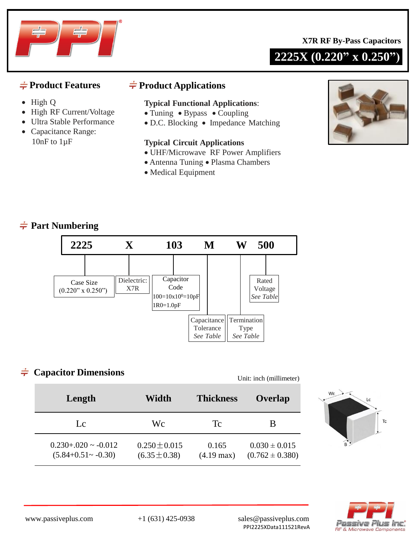

**2225X (0.220" x 0.250")**



- High Q
- High RF Current/Voltage
- Ultra Stable Performance
- Capacitance Range: 10nF to 1µF

### $\div$  **Product Features**  $\div$  **Product Applications**

#### **Typical Functional Applications**:

- Tuning Bypass Coupling
- D.C. Blocking Impedance Matching

#### **Typical Circuit Applications**

- UHF/Microwave RF Power Amplifiers
- Antenna Tuning Plasma Chambers
- Medical Equipment



# **Part Numbering**



## **Capacitor Dimensions**

Unit: inch (millimeter)

| Length                                                  | Width                                  | <b>Thickness</b>              | Overlap                                  |  |
|---------------------------------------------------------|----------------------------------------|-------------------------------|------------------------------------------|--|
| Lc                                                      | Wс                                     | Tc                            | В                                        |  |
| $0.230 + 0.020 \sim -0.012$<br>$(5.84+0.51 \sim -0.30)$ | $0.250 \pm 0.015$<br>$(6.35 \pm 0.38)$ | 0.165<br>$(4.19 \text{ max})$ | $0.030 \pm 0.015$<br>$(0.762 \pm 0.380)$ |  |





www.passiveplus.com +1 (631) 425-0938 sales@passiveplus.com PPI2225XData111521RevA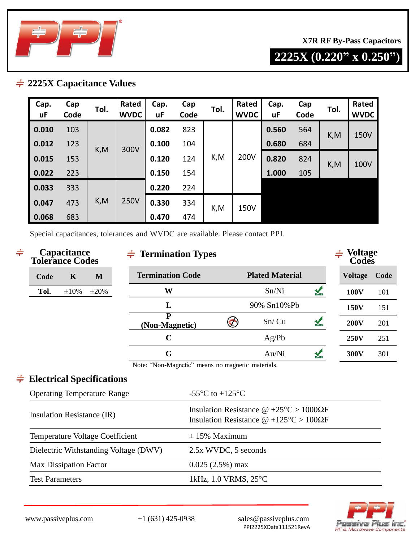

**X7R RF By-Pass Capacitors**

**2225X (0.220" x 0.250")**

### **2225X Capacitance Values**

| Cap.<br>uF | Cap<br>Code | Tol. | Rated<br><b>WVDC</b> | Cap.<br>uF | Cap<br>Code | Tol. | Rated<br><b>WVDC</b> | Cap.<br>uF | Cap<br>Code | Tol. | <b>Rated</b><br><b>WVDC</b> |
|------------|-------------|------|----------------------|------------|-------------|------|----------------------|------------|-------------|------|-----------------------------|
| 0.010      | 103         |      | 300V                 | 0.082      | 823         | K,M  |                      | 0.560      | 564         | K,M  | 150V                        |
| 0.012      | 123         | K,M  |                      | 0.100      | 104         |      | 200V                 | 0.680      | 684         |      |                             |
| 0.015      | 153         |      |                      | 0.120      | 124         |      |                      | 0.820      | 824         | K,M  | 100V                        |
| 0.022      | 223         |      |                      | 0.150      | 154         |      |                      | 1.000      | 105         |      |                             |
| 0.033      | 333         |      |                      | 0.220      | 224         |      |                      |            |             |      |                             |
| 0.047      | 473         | K,M  | <b>250V</b>          | 0.330      | 334         | K,M  | 150V                 |            |             |      |                             |
| 0.068      | 683         |      |                      |            | 0.470       | 474  |                      |            |             |      |                             |

Special capacitances, tolerances and WVDC are available. Please contact PPI.

| $\div$ |                                                                                                     | Capacitance<br><b>Tolerance Codes</b> |            |  | $\frac{1}{\sqrt{2}}$ Termination Types            |                                                                                                                  |                        |                         | $\div$ Voltage<br>Codes |      |  |
|--------|-----------------------------------------------------------------------------------------------------|---------------------------------------|------------|--|---------------------------------------------------|------------------------------------------------------------------------------------------------------------------|------------------------|-------------------------|-------------------------|------|--|
|        | Code                                                                                                | $\mathbf K$                           | M          |  | <b>Termination Code</b>                           |                                                                                                                  | <b>Plated Material</b> |                         | <b>Voltage</b>          | Code |  |
|        | Tol.                                                                                                | $\pm 10\%$                            | $\pm 20\%$ |  | W                                                 |                                                                                                                  | Sn/Ni                  | $\frac{1}{R_0HS}$       | <b>100V</b>             | 101  |  |
|        |                                                                                                     |                                       |            |  | L                                                 |                                                                                                                  | 90% Sn10%Pb            |                         | 150V                    | 151  |  |
|        |                                                                                                     |                                       |            |  | P<br>(Non-Magnetic)                               |                                                                                                                  | Sn/Cu                  | RoHS                    | <b>200V</b>             | 201  |  |
|        |                                                                                                     |                                       |            |  | $\mathbf C$                                       |                                                                                                                  | Ag/Pb                  |                         | <b>250V</b>             | 251  |  |
|        |                                                                                                     |                                       |            |  | G                                                 |                                                                                                                  | Au/Ni                  | $\frac{1}{\text{RoHS}}$ | 300V                    | 301  |  |
|        |                                                                                                     |                                       |            |  | Note: "Non-Magnetic" means no magnetic materials. |                                                                                                                  |                        |                         |                         |      |  |
|        | $\div$ Electrical Specifications                                                                    |                                       |            |  |                                                   |                                                                                                                  |                        |                         |                         |      |  |
|        | <b>Operating Temperature Range</b><br>Insulation Resistance (IR)<br>Temperature Voltage Coefficient |                                       |            |  | -55 $\rm{^{\circ}C}$ to +125 $\rm{^{\circ}C}$     |                                                                                                                  |                        |                         |                         |      |  |
|        |                                                                                                     |                                       |            |  |                                                   | Insulation Resistance $\omega$ +25°C > 1000 $\Omega$ F<br>Insulation Resistance $\omega$ +125°C > 100 $\Omega$ F |                        |                         |                         |      |  |
|        |                                                                                                     |                                       |            |  |                                                   | $\pm$ 15% Maximum                                                                                                |                        |                         |                         |      |  |
|        |                                                                                                     |                                       |            |  | Dielectric Withstanding Voltage (DWV)             | 2.5x WVDC, 5 seconds                                                                                             |                        |                         |                         |      |  |
|        | <b>Max Dissipation Factor</b>                                                                       |                                       |            |  |                                                   | $0.025(2.5%)$ max                                                                                                |                        |                         |                         |      |  |
|        | <b>Test Parameters</b>                                                                              |                                       |            |  |                                                   | 1kHz, 1.0 VRMS, 25°C                                                                                             |                        |                         |                         |      |  |
|        |                                                                                                     |                                       |            |  |                                                   |                                                                                                                  |                        |                         |                         |      |  |

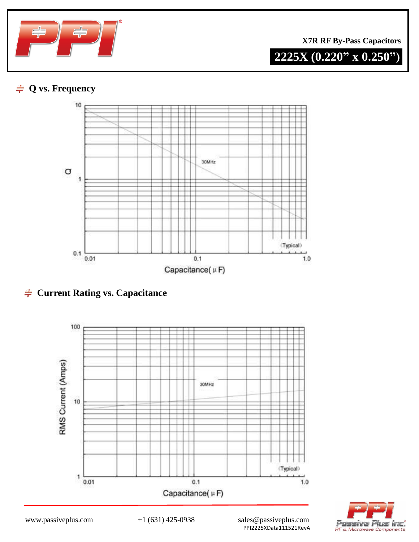

**X7R RF By-Pass Capacitors**



# **Q vs. Frequency**



 $\div$  **Current Rating vs. Capacitance** 





www.passiveplus.com  $+1 (631) 425-0938$  sales@passiveplus.com PPI2225XData111521RevA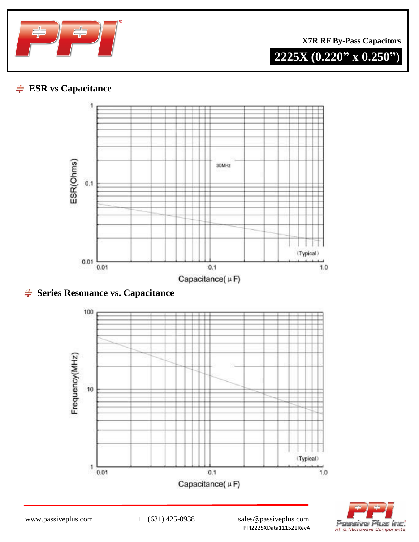

**X7R RF By-Pass Capacitors**

**2225X (0.220" x 0.250")**

# **ESR vs Capacitance**



 $\div$  **Series Resonance vs. Capacitance**